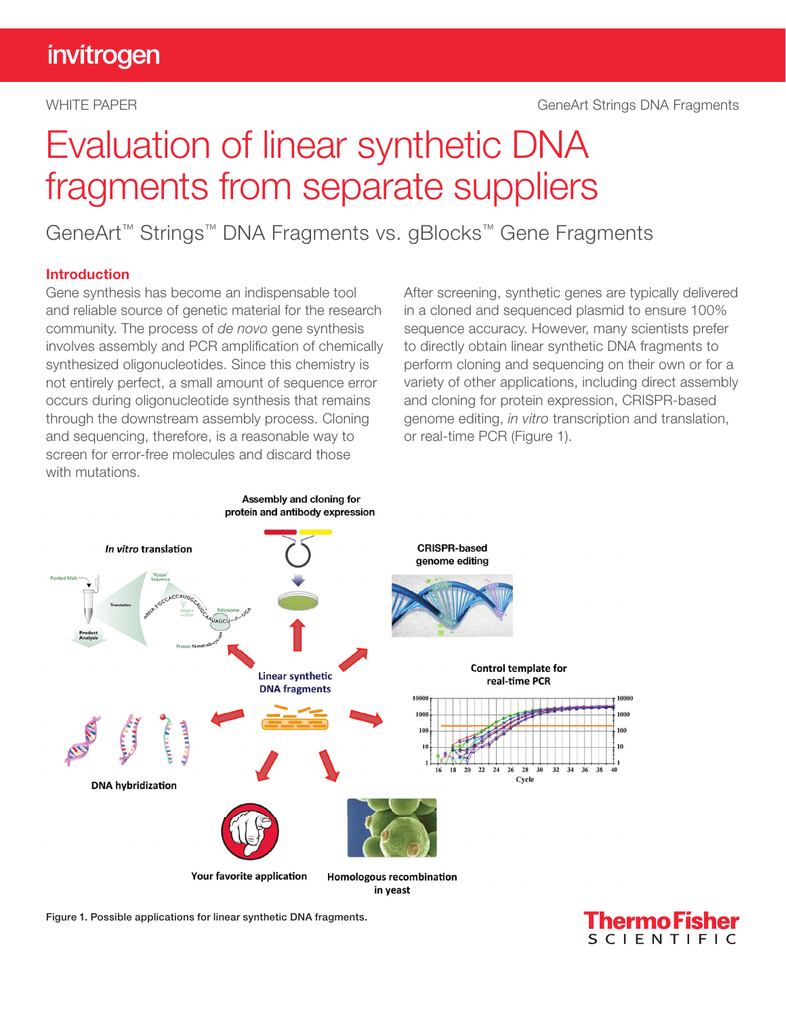# Evaluation of linear synthetic DNA fragments from separate suppliers

GeneArt™ Strings™ DNA Fragments vs. gBlocks™ Gene Fragments

#### Introduction

Gene synthesis has become an indispensable tool and reliable source of genetic material for the research community. The process of *de novo* gene synthesis involves assembly and PCR amplification of chemically synthesized oligonucleotides. Since this chemistry is not entirely perfect, a small amount of sequence error occurs during oligonucleotide synthesis that remains through the downstream assembly process. Cloning and sequencing, therefore, is a reasonable way to screen for error-free molecules and discard those with mutations.

After screening, synthetic genes are typically delivered in a cloned and sequenced plasmid to ensure 100% sequence accuracy. However, many scientists prefer to directly obtain linear synthetic DNA fragments to perform cloning and sequencing on their own or for a variety of other applications, including direct assembly and cloning for protein expression, CRISPR-based genome editing, *in vitro* transcription and translation, or real-time PCR (Figure 1).



Figure 1. Possible applications for linear synthetic DNA fragments.

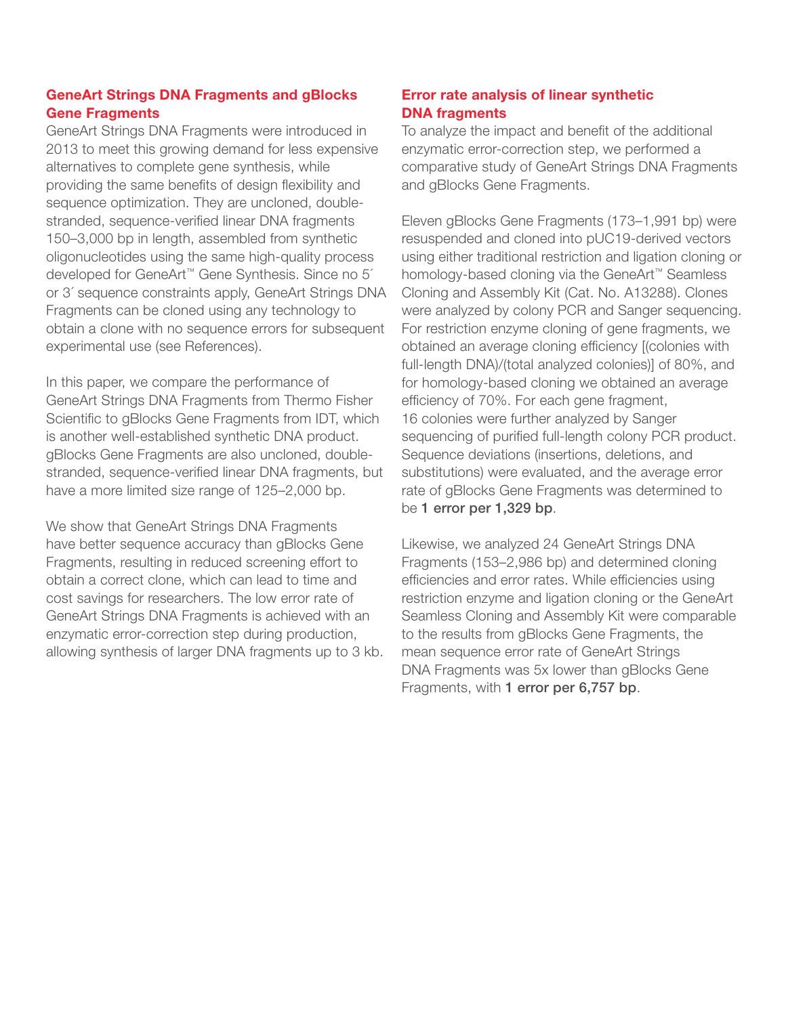### GeneArt Strings DNA Fragments and gBlocks Gene Fragments

GeneArt Strings DNA Fragments were introduced in 2013 to meet this growing demand for less expensive alternatives to complete gene synthesis, while providing the same benefits of design flexibility and sequence optimization. They are uncloned, doublestranded, sequence-verified linear DNA fragments 150–3,000 bp in length, assembled from synthetic oligonucleotides using the same high-quality process developed for GeneArt™ Gene Synthesis. Since no 5´ or 3´ sequence constraints apply, GeneArt Strings DNA Fragments can be cloned using any technology to obtain a clone with no sequence errors for subsequent experimental use (see References).

In this paper, we compare the performance of GeneArt Strings DNA Fragments from Thermo Fisher Scientific to gBlocks Gene Fragments from IDT, which is another well-established synthetic DNA product. gBlocks Gene Fragments are also uncloned, doublestranded, sequence-verified linear DNA fragments, but have a more limited size range of 125–2,000 bp.

We show that GeneArt Strings DNA Fragments have better sequence accuracy than gBlocks Gene Fragments, resulting in reduced screening effort to obtain a correct clone, which can lead to time and cost savings for researchers. The low error rate of GeneArt Strings DNA Fragments is achieved with an enzymatic error-correction step during production, allowing synthesis of larger DNA fragments up to 3 kb.

## Error rate analysis of linear synthetic DNA fragments

To analyze the impact and benefit of the additional enzymatic error-correction step, we performed a comparative study of GeneArt Strings DNA Fragments and gBlocks Gene Fragments.

Eleven gBlocks Gene Fragments (173–1,991 bp) were resuspended and cloned into pUC19-derived vectors using either traditional restriction and ligation cloning or homology-based cloning via the GeneArt™ Seamless Cloning and Assembly Kit (Cat. No. A13288). Clones were analyzed by colony PCR and Sanger sequencing. For restriction enzyme cloning of gene fragments, we obtained an average cloning efficiency [(colonies with full-length DNA)/(total analyzed colonies)] of 80%, and for homology-based cloning we obtained an average efficiency of 70%. For each gene fragment, 16 colonies were further analyzed by Sanger sequencing of purified full-length colony PCR product. Sequence deviations (insertions, deletions, and substitutions) were evaluated, and the average error rate of gBlocks Gene Fragments was determined to be 1 error per 1,329 bp.

Likewise, we analyzed 24 GeneArt Strings DNA Fragments (153–2,986 bp) and determined cloning efficiencies and error rates. While efficiencies using restriction enzyme and ligation cloning or the GeneArt Seamless Cloning and Assembly Kit were comparable to the results from gBlocks Gene Fragments, the mean sequence error rate of GeneArt Strings DNA Fragments was 5x lower than gBlocks Gene Fragments, with 1 error per 6,757 bp.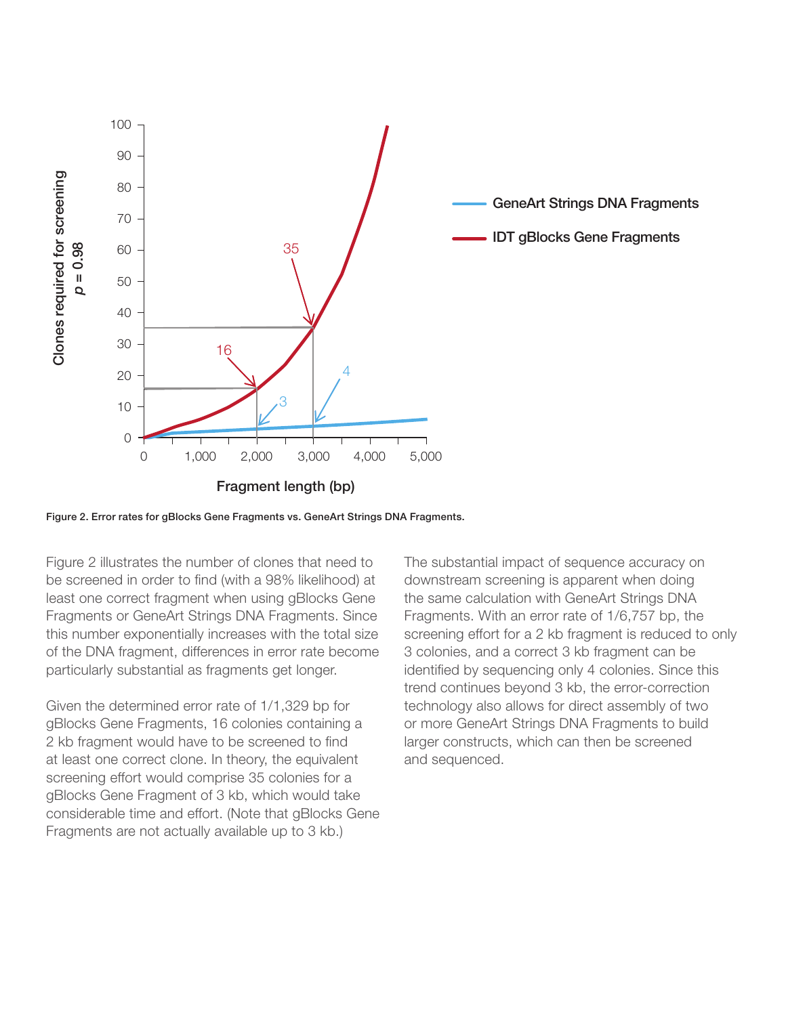

Figure 2. Error rates for gBlocks Gene Fragments vs. GeneArt Strings DNA Fragments.

Figure 2 illustrates the number of clones that need to be screened in order to find (with a 98% likelihood) at least one correct fragment when using gBlocks Gene Fragments or GeneArt Strings DNA Fragments. Since this number exponentially increases with the total size of the DNA fragment, differences in error rate become particularly substantial as fragments get longer.

Given the determined error rate of 1/1,329 bp for gBlocks Gene Fragments, 16 colonies containing a 2 kb fragment would have to be screened to find at least one correct clone. In theory, the equivalent screening effort would comprise 35 colonies for a gBlocks Gene Fragment of 3 kb, which would take considerable time and effort. (Note that gBlocks Gene Fragments are not actually available up to 3 kb.)

The substantial impact of sequence accuracy on downstream screening is apparent when doing the same calculation with GeneArt Strings DNA Fragments. With an error rate of 1/6,757 bp, the screening effort for a 2 kb fragment is reduced to only 3 colonies, and a correct 3 kb fragment can be identified by sequencing only 4 colonies. Since this trend continues beyond 3 kb, the error-correction technology also allows for direct assembly of two or more GeneArt Strings DNA Fragments to build larger constructs, which can then be screened and sequenced.